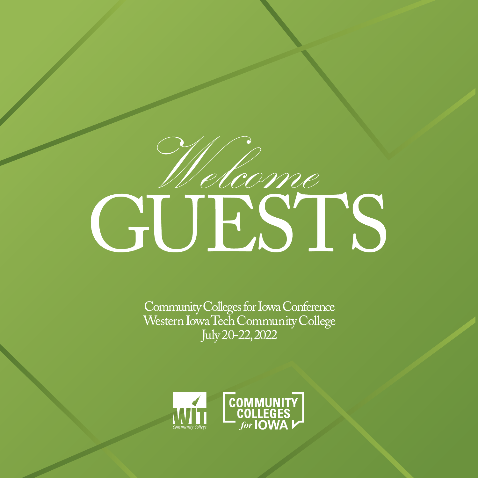# CUESTS

Community Colleges for Iowa Conference<br>Western Iowa Tech Community College July 20-22, 2022

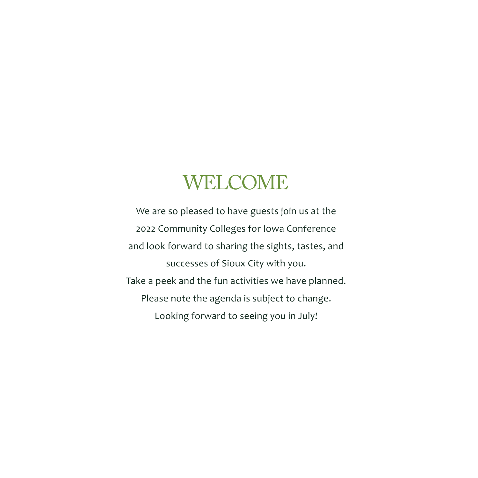# WELCOME

We are so pleased to have guests join us at the 2022 Community Colleges for Iowa Conference and look forward to sharing the sights, tastes, and successes of Sioux City with you. Take a peek and the fun activities we have planned. Please note the agenda is subject to change. Looking forward to seeing you in July!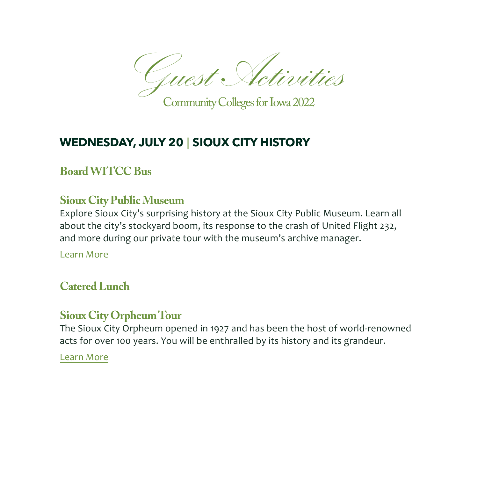Guest Activities

Community Colleges for Iowa 2022

# **WEDNESDAY, JULY 20** | **SIOUX CITY HISTORY**

# **Board WITCC Bus**

# **Sioux City Public Museum**

Explore Sioux City's surprising history at the Sioux City Public Museum. Learn all about the city's stockyard boom, its response to the crash of United Flight 232, and more during our private tour with the museum's archive manager.

[Learn More](http://www.siouxcitymuseum.org/) 

# **Catered Lunch**

## **Sioux City Orpheum Tour**

The Sioux City Orpheum opened in 1927 and has been the host of world-renowned acts for over 100 years. You will be enthralled by its history and its grandeur.

[Learn More](https://www.orpheumlive.com)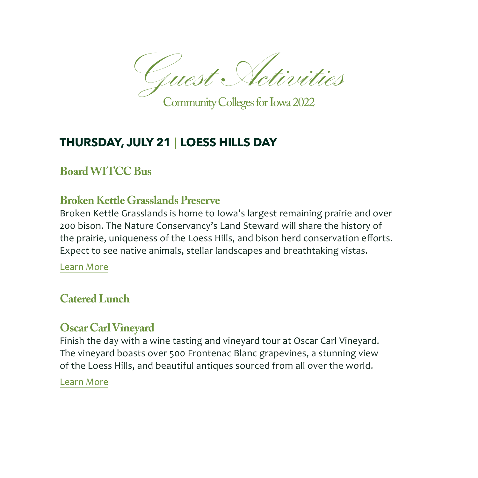Guest Activities

Community Colleges for Iowa 2022

# **THURSDAY, JULY 21** | **LOESS HILLS DAY**

#### **Board WITCC Bus**

#### **Broken Kettle Grasslands Preserve**

Broken Kettle Grasslands is home to Iowa's largest remaining prairie and over 200 bison. The Nature Conservancy's Land Steward will share the history of the prairie, uniqueness of the Loess Hills, and bison herd conservation efforts. Expect to see native animals, stellar landscapes and breathtaking vistas.

[Learn More](https://www.nature.org/en-us/get-involved/how-to-help/places-we-protect/broken-kettle-grasslands-preserve/) 

#### **Catered Lunch**

## **Oscar Carl Vineyard**

Finish the day with a wine tasting and vineyard tour at Oscar Carl Vineyard. The vineyard boasts over 500 Frontenac Blanc grapevines, a stunning view of the Loess Hills, and beautiful antiques sourced from all over the world.

#### [Learn More](http://oscarcarlvineyard.com/)